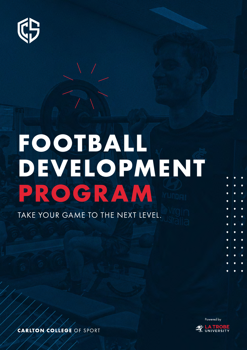

# TAKE YOUR GAME TO THE NEXT LEVEL. **FOOTBALL DEVELOPMENT PROGRAM**



**CARLTON COLLEGE OF SPORT**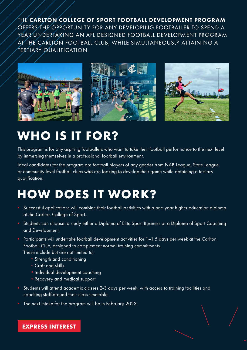THE CARLTON COLLEGE OF SPORT FOOTBALL DEVELOPMENT PROGRAM OFFERS THE OPPORTUNITY FOR ANY DEVELOPING FOOTBALLER TO SPEND A YEAR UNDERTAKING AN AFL DESIGNED FOOTBALL DEVELOPMENT PROGRAM AT THE CARLTON FOOTBALL CLUB, WHILE SIMULTANEOUSLY ATTAINING A TERTIARY QUALIFICATION.



# **WHO IS IT FOR?**

This program is for any aspiring footballers who want to take their football performance to the next level by immersing themselves in a professional football environment.

Ideal candidates for the program are football players of any gender from NAB League, State League or community level football clubs who are looking to develop their game while obtaining a tertiary qualification.

# **HOW DOES IT WORK?**

- Successful applications will combine their football activities with a one-year higher education diploma at the Carlton College of Sport.
- Students can choose to study either a Diploma of Elite Sport Business or a Diploma of Sport Coaching and Development.
- Participants will undertake football development activities for 1–1.5 days per week at the Carlton Football Club, designed to complement normal training commitments. These include but are not limited to;
	- ° Strength and conditioning
	- ° Craft and skills
	- ° Individual development coaching
	- ° Recovery and medical support
- Students will attend academic classes 2-3 days per week, with access to training facilities and coaching staff around their class timetable.
- The next intake for the program will be in February 2023.

### **[EXPRESS INTEREST](https://carltoncollegeofsport.com.au/site/footy-dev-eoi/)**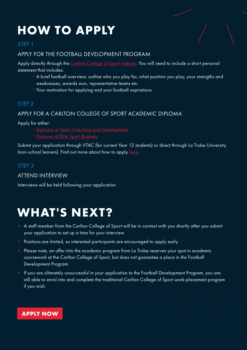# **HOW TO APPLY**

### STEP 1

### APPLY FOR THE FOOTBALL DEVELOPMENT PROGRAM

Apply directly through the [Carlton College of Sport website](https://carltoncollegeofsport.com.au/site/football-development-application/). You will need to include a short personal statement that includes:

- ° A brief football overview; outline who you play for, what position you play, your strengths and weaknesses, awards won, representative teams etc.
- ° Your motivation for applying and your football aspirations.

### STEP 2

### APPLY FOR A CARLTON COLLEGE OF SPORT ACADEMIC DIPLOMA

Apply for either:

- ° [Diploma of Sport Coaching and Development](https://carltoncollegeofsport.com.au/site/course-info/coaching-and-development/)
- ° [Diploma of Elite Sport Business](https://carltoncollegeofsport.com.au/site/elite-sport-business/)

Submit your application through VTAC (for current Year 12 students) or direct through La Trobe University (non-school leavers). Find out more about how to apply [here.](https://carltoncollegeofsport.com.au/site/apply/)

### STEP 3

### ATTEND INTERVIEW

Interviews will be held following your application.

# **WHAT'S NEXT?**

- A staff member from the Carlton College of Sport will be in contact with you shortly after you submit your application to set up a time for your interview.
- Positions are limited, so interested participants are encouraged to apply early.
- Please note, an offer into the academic program from La Trobe reserves your spot in academic coursework at the Carlton College of Sport, but does not guarantee a place in the Football Development Program.
- If you are ultimately unsuccessful in your application to the Football Development Program, you are still able to enrol into and complete the traditional Carlton College of Sport work-placement program if you wish.